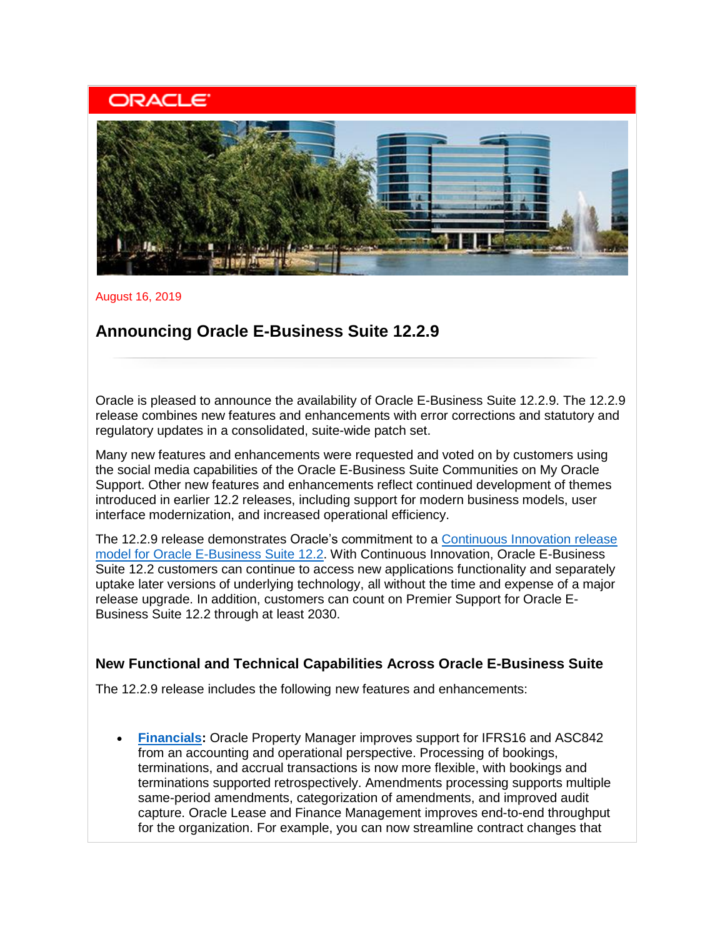## **ORACLE**



August 16, 2019

### **Announcing Oracle E-Business Suite 12.2.9**

Oracle is pleased to announce the availability of Oracle E-Business Suite 12.2.9. The 12.2.9 release combines new features and enhancements with error corrections and statutory and regulatory updates in a consolidated, suite-wide patch set.

Many new features and enhancements were requested and voted on by customers using the social media capabilities of the Oracle E-Business Suite Communities on My Oracle Support. Other new features and enhancements reflect continued development of themes introduced in earlier 12.2 releases, including support for modern business models, user interface modernization, and increased operational efficiency.

The 12.2.9 release demonstrates Oracle's commitment to a [Continuous Innovation release](https://www.oracle.com/us/products/applications/ebs-suite-12-2-announcement-5172019.pdf)  [model for Oracle E-Business Suite 12.2.](https://www.oracle.com/us/products/applications/ebs-suite-12-2-announcement-5172019.pdf) With Continuous Innovation, Oracle E-Business Suite 12.2 customers can continue to access new applications functionality and separately uptake later versions of underlying technology, all without the time and expense of a major release upgrade. In addition, customers can count on Premier Support for Oracle E-Business Suite 12.2 through at least 2030.

#### **New Functional and Technical Capabilities Across Oracle E-Business Suite**

The 12.2.9 release includes the following new features and enhancements:

• **[Financials:](https://www.oracle.com/applications/ebusiness/products.html#financials)** Oracle Property Manager improves support for IFRS16 and ASC842 from an accounting and operational perspective. Processing of bookings, terminations, and accrual transactions is now more flexible, with bookings and terminations supported retrospectively. Amendments processing supports multiple same-period amendments, categorization of amendments, and improved audit capture. Oracle Lease and Finance Management improves end-to-end throughput for the organization. For example, you can now streamline contract changes that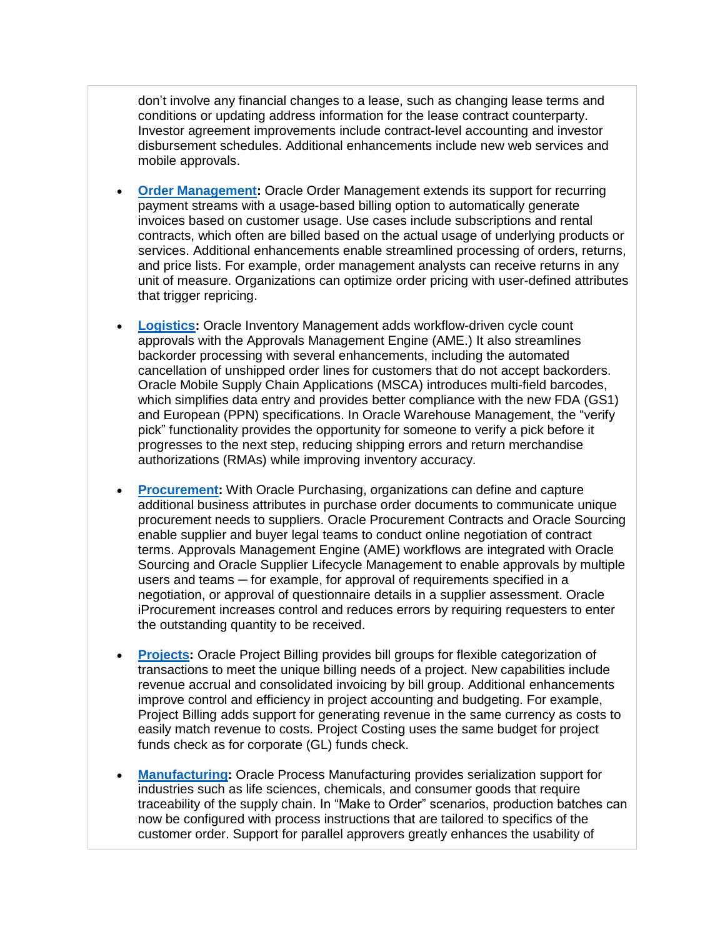don't involve any financial changes to a lease, such as changing lease terms and conditions or updating address information for the lease contract counterparty. Investor agreement improvements include contract-level accounting and investor disbursement schedules. Additional enhancements include new web services and mobile approvals.

- **[Order Management:](https://www.oracle.com/applications/ebusiness/products.html#order)** Oracle Order Management extends its support for recurring payment streams with a usage-based billing option to automatically generate invoices based on customer usage. Use cases include subscriptions and rental contracts, which often are billed based on the actual usage of underlying products or services. Additional enhancements enable streamlined processing of orders, returns, and price lists. For example, order management analysts can receive returns in any unit of measure. Organizations can optimize order pricing with user-defined attributes that trigger repricing.
- **[Logistics:](https://www.oracle.com/applications/ebusiness/products.html#logistics)** Oracle Inventory Management adds workflow-driven cycle count approvals with the Approvals Management Engine (AME.) It also streamlines backorder processing with several enhancements, including the automated cancellation of unshipped order lines for customers that do not accept backorders. Oracle Mobile Supply Chain Applications (MSCA) introduces multi-field barcodes, which simplifies data entry and provides better compliance with the new FDA (GS1) and European (PPN) specifications. In Oracle Warehouse Management, the "verify pick" functionality provides the opportunity for someone to verify a pick before it progresses to the next step, reducing shipping errors and return merchandise authorizations (RMAs) while improving inventory accuracy.
- **[Procurement:](https://www.oracle.com/applications/ebusiness/products.html#procurement)** With Oracle Purchasing, organizations can define and capture additional business attributes in purchase order documents to communicate unique procurement needs to suppliers. Oracle Procurement Contracts and Oracle Sourcing enable supplier and buyer legal teams to conduct online negotiation of contract terms. Approvals Management Engine (AME) workflows are integrated with Oracle Sourcing and Oracle Supplier Lifecycle Management to enable approvals by multiple users and teams — for example, for approval of requirements specified in a negotiation, or approval of questionnaire details in a supplier assessment. Oracle iProcurement increases control and reduces errors by requiring requesters to enter the outstanding quantity to be received.
- **[Projects:](https://www.oracle.com/applications/ebusiness/products.html#projects)** Oracle Project Billing provides bill groups for flexible categorization of transactions to meet the unique billing needs of a project. New capabilities include revenue accrual and consolidated invoicing by bill group. Additional enhancements improve control and efficiency in project accounting and budgeting. For example, Project Billing adds support for generating revenue in the same currency as costs to easily match revenue to costs. Project Costing uses the same budget for project funds check as for corporate (GL) funds check.
- **[Manufacturing:](https://www.oracle.com/applications/ebusiness/products.html#manufacturing)** Oracle Process Manufacturing provides serialization support for industries such as life sciences, chemicals, and consumer goods that require traceability of the supply chain. In "Make to Order" scenarios, production batches can now be configured with process instructions that are tailored to specifics of the customer order. Support for parallel approvers greatly enhances the usability of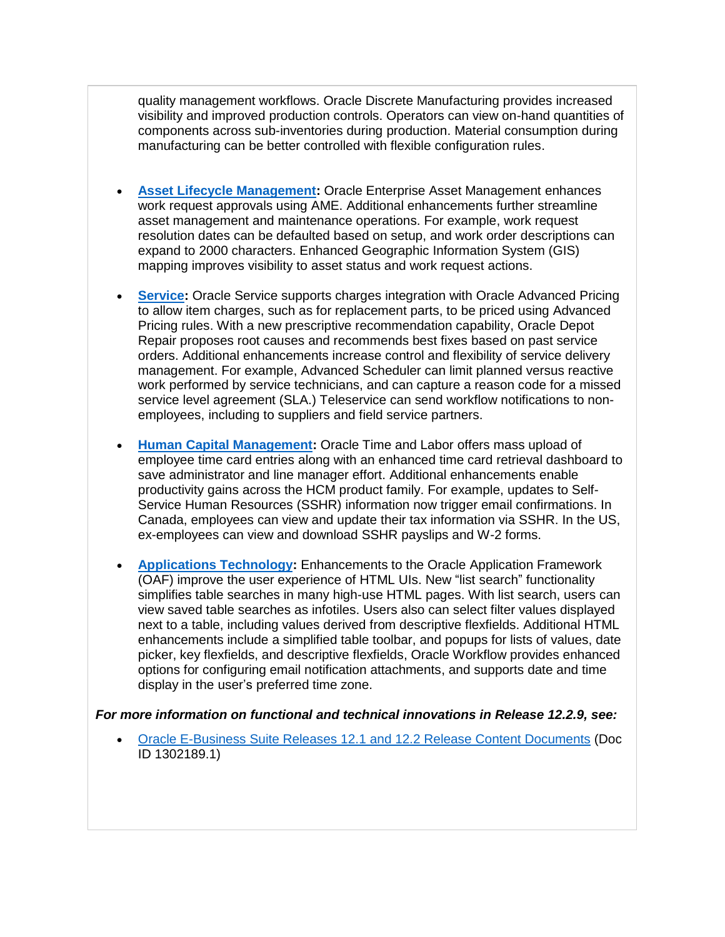quality management workflows. Oracle Discrete Manufacturing provides increased visibility and improved production controls. Operators can view on-hand quantities of components across sub-inventories during production. Material consumption during manufacturing can be better controlled with flexible configuration rules.

- **[Asset Lifecycle Management:](https://www.oracle.com/applications/ebusiness/products.html#assetlifecycle)** Oracle Enterprise Asset Management enhances work request approvals using AME. Additional enhancements further streamline asset management and maintenance operations. For example, work request resolution dates can be defaulted based on setup, and work order descriptions can expand to 2000 characters. Enhanced Geographic Information System (GIS) mapping improves visibility to asset status and work request actions.
- **[Service:](https://www.oracle.com/applications/ebusiness/products.html#service)** Oracle Service supports charges integration with Oracle Advanced Pricing to allow item charges, such as for replacement parts, to be priced using Advanced Pricing rules. With a new prescriptive recommendation capability, Oracle Depot Repair proposes root causes and recommends best fixes based on past service orders. Additional enhancements increase control and flexibility of service delivery management. For example, Advanced Scheduler can limit planned versus reactive work performed by service technicians, and can capture a reason code for a missed service level agreement (SLA.) Teleservice can send workflow notifications to nonemployees, including to suppliers and field service partners.
- **[Human Capital Management:](https://www.oracle.com/applications/ebusiness/products.html#hcm)** Oracle Time and Labor offers mass upload of employee time card entries along with an enhanced time card retrieval dashboard to save administrator and line manager effort. Additional enhancements enable productivity gains across the HCM product family. For example, updates to Self-Service Human Resources (SSHR) information now trigger email confirmations. In Canada, employees can view and update their tax information via SSHR. In the US, ex-employees can view and download SSHR payslips and W-2 forms.
- **[Applications Technology:](http://www.oracle.com/us/products/applications/ebusiness/overview/index.html)** Enhancements to the Oracle Application Framework (OAF) improve the user experience of HTML UIs. New "list search" functionality simplifies table searches in many high-use HTML pages. With list search, users can view saved table searches as infotiles. Users also can select filter values displayed next to a table, including values derived from descriptive flexfields. Additional HTML enhancements include a simplified table toolbar, and popups for lists of values, date picker, key flexfields, and descriptive flexfields, Oracle Workflow provides enhanced options for configuring email notification attachments, and supports date and time display in the user's preferred time zone.

*For more information on functional and technical innovations in Release 12.2.9, see:*

• [Oracle E-Business Suite Releases 12.1 and 12.2 Release Content Documents](https://support.oracle.com/rs?type=doc&id=1302189.1) (Doc ID 1302189.1)